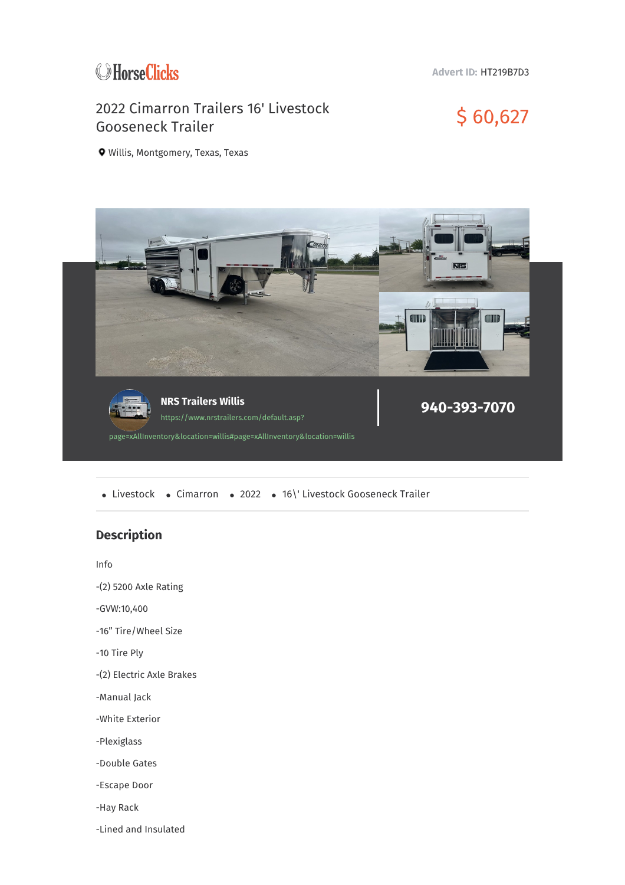

**Advert ID:** HT219B7D3

## 2022 Cimarron Trailers 16' Livestock 2022 Cimarron Trailers 16' Livestock<br>Gooseneck Trailer

Willis, Montgomery, Texas, Texas



• Livestock • Cimarron • 2022 • 16\' Livestock Gooseneck Trailer

## **Description**

Info

-(2) 5200 Axle Rating

-GVW:10,400

-16" Tire/Wheel Size

-10 Tire Ply

-(2) Electric Axle Brakes

-Manual Jack

-White Exterior

-Plexiglass

-Double Gates

-Escape Door

-Hay Rack

-Lined and Insulated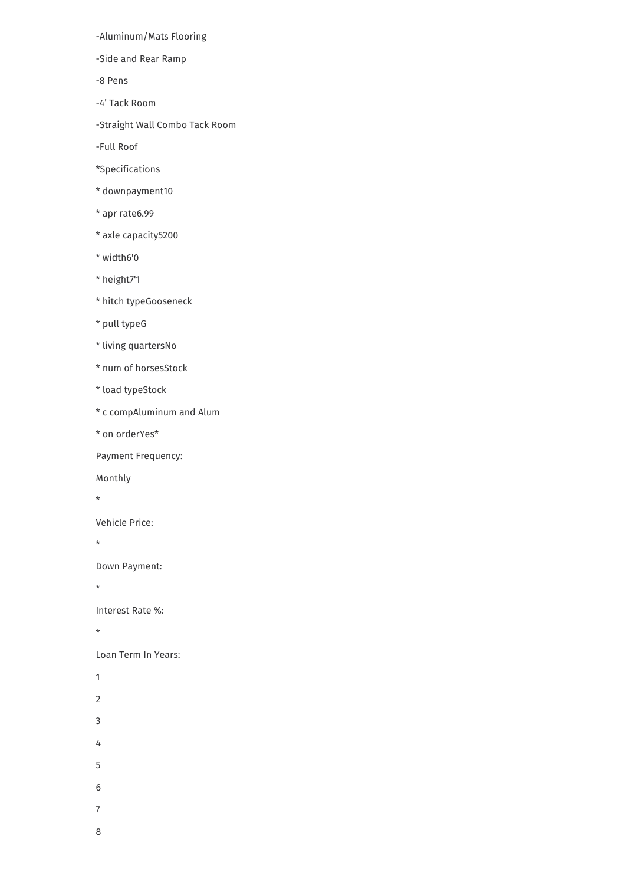-Aluminum/Mats Flooring

-Side and Rear Ramp

-8 Pens

-4' Tack Room

-Straight Wall Combo Tack Room

-Full Roof

\*Specifications

\* downpayment10

\* apr rate6.99

\* axle capacity5200

\* width6'0

\* height7'1

\* hitch typeGooseneck

\* pull typeG

\* living quartersNo

\* num of horsesStock

\* load typeStock

\* c compAluminum and Alum

\* on orderYes\*

Payment Frequency:

Monthly

 $\star$ 

Vehicle Price:

 $\star$ 

Down Payment:

 $\star$ 

Interest Rate %:

 $\star$ 

Loan Term In Years:

 $\overline{1}$ 

 $\overline{2}$ 

 $\overline{3}$ 

 $\overline{4}$ 

 $\overline{5}$ 

 $6\phantom{a}$ 

8

 $\overline{7}$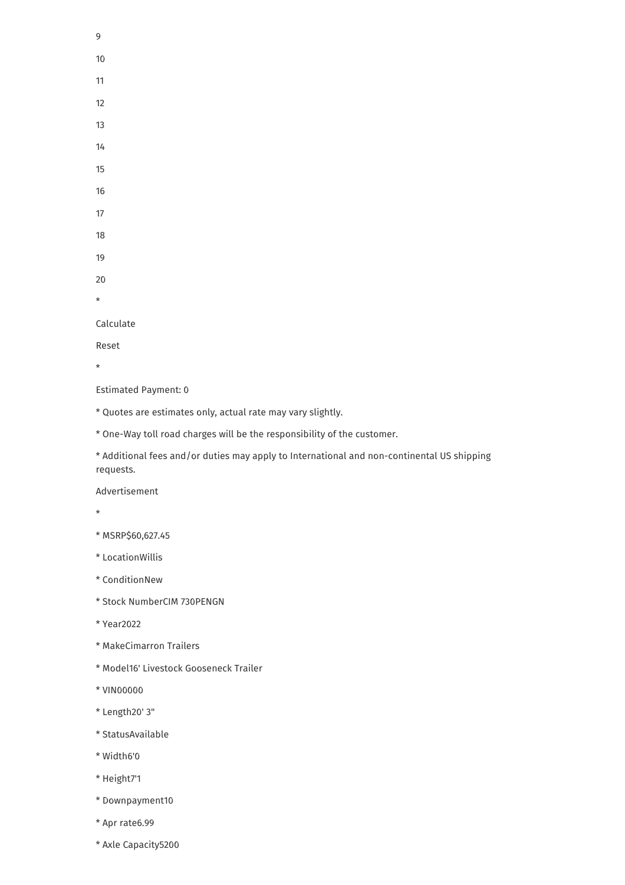- 9
- 10
- 11
- 12
- 13
- 
- 14 15
- 16
- 17
- 18
- 19
- 20
- \*

## Calculate

Reset

\*

Estimated Payment: 0

- \* Quotes are estimates only, actual rate may vary slightly.
- \* One-Way toll road charges will be the responsibility of the customer.
- \* Additional fees and/or duties may apply to International and non-continental US shipping requests.

Advertisement

- \*
- \* MSRP\$60,627.45
- \* LocationWillis
- \* ConditionNew
- \* Stock NumberCIM 730PENGN
- \* Year2022
- \* MakeCimarron Trailers
- \* Model16' Livestock Gooseneck Trailer
- \* VIN00000
- \* Length20' 3"
- \* StatusAvailable
- \* Width6'0
- \* Height7'1
- \* Downpayment10
- \* Apr rate6.99
- \* Axle Capacity5200